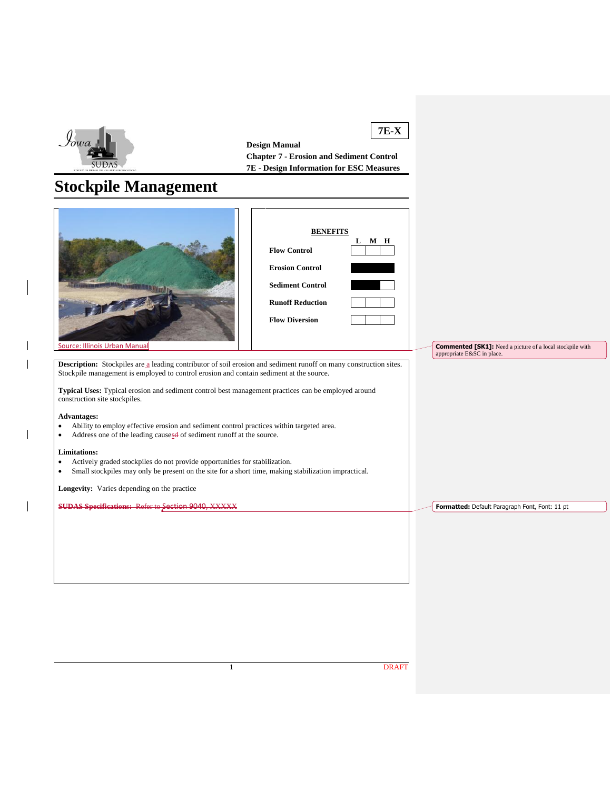

 $\overline{\phantom{a}}$  $\overline{1}$ 

 $\overline{\phantom{a}}$ 

 $\overline{\phantom{a}}$ 

**7E-X Design Manual Chapter 7 - Erosion and Sediment Control 7E - Design Information for ESC Measures**

# **Stockpile Management**

| <b>Source: Illinois Urban Manual</b>                                                                                                                                                                                                | <b>BENEFITS</b><br>$L$ M H<br><b>Flow Control</b><br><b>Erosion Control</b><br><b>Sediment Control</b><br><b>Runoff Reduction</b><br><b>Flow Diversion</b> |  | <b>Commented [SK1]:</b> Need a picture of a local stockpile with<br>appropriate E&SC in place. |
|-------------------------------------------------------------------------------------------------------------------------------------------------------------------------------------------------------------------------------------|------------------------------------------------------------------------------------------------------------------------------------------------------------|--|------------------------------------------------------------------------------------------------|
| Description: Stockpiles are a leading contributor of soil erosion and sediment runoff on many construction sites.                                                                                                                   |                                                                                                                                                            |  |                                                                                                |
| Stockpile management is employed to control erosion and contain sediment at the source.                                                                                                                                             |                                                                                                                                                            |  |                                                                                                |
| Typical Uses: Typical erosion and sediment control best management practices can be employed around<br>construction site stockpiles.                                                                                                |                                                                                                                                                            |  |                                                                                                |
| <b>Advantages:</b><br>Ability to employ effective erosion and sediment control practices within targeted area.<br>$\bullet$<br>Address one of the leading causesd of sediment runoff at the source.<br>$\bullet$                    |                                                                                                                                                            |  |                                                                                                |
| <b>Limitations:</b><br>Actively graded stockpiles do not provide opportunities for stabilization.<br>$\bullet$<br>Small stockpiles may only be present on the site for a short time, making stabilization impractical.<br>$\bullet$ |                                                                                                                                                            |  |                                                                                                |
| Longevity: Varies depending on the practice                                                                                                                                                                                         |                                                                                                                                                            |  |                                                                                                |
|                                                                                                                                                                                                                                     |                                                                                                                                                            |  |                                                                                                |
| <b>SUDAS Specifications: Refer to Section 9040, XXXXX</b>                                                                                                                                                                           |                                                                                                                                                            |  | Formatted: Default Paragraph Font, Font: 11 pt                                                 |
|                                                                                                                                                                                                                                     |                                                                                                                                                            |  |                                                                                                |
|                                                                                                                                                                                                                                     |                                                                                                                                                            |  |                                                                                                |
|                                                                                                                                                                                                                                     |                                                                                                                                                            |  |                                                                                                |
|                                                                                                                                                                                                                                     |                                                                                                                                                            |  |                                                                                                |
|                                                                                                                                                                                                                                     |                                                                                                                                                            |  |                                                                                                |
|                                                                                                                                                                                                                                     |                                                                                                                                                            |  |                                                                                                |
|                                                                                                                                                                                                                                     |                                                                                                                                                            |  |                                                                                                |
|                                                                                                                                                                                                                                     |                                                                                                                                                            |  |                                                                                                |
|                                                                                                                                                                                                                                     |                                                                                                                                                            |  |                                                                                                |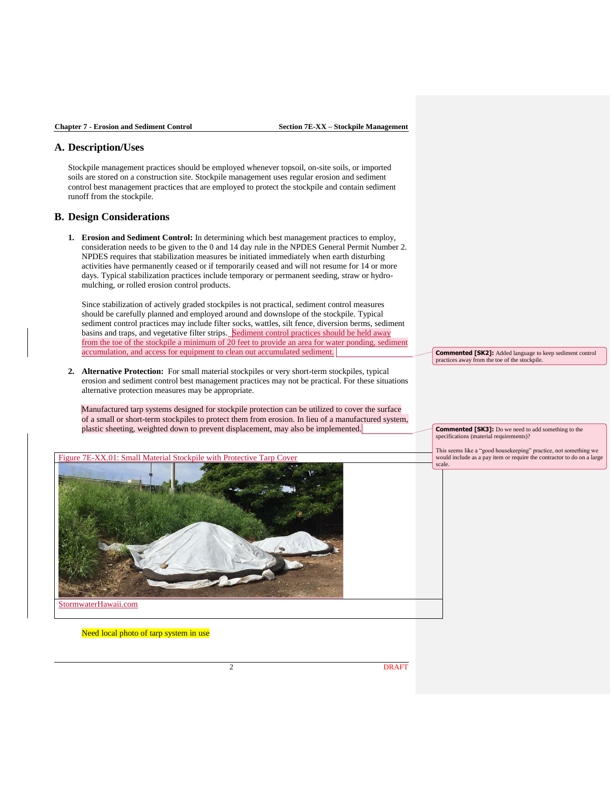### **A. Description/Uses**

Stockpile management practices should be employed whenever topsoil, on-site soils, or imported soils are stored on a construction site. Stockpile management uses regular erosion and sediment control best management practices that are employed to protect the stockpile and contain sediment runoff from the stockpile.

#### **B. Design Considerations**

**1. Erosion and Sediment Control:** In determining which best management practices to employ, consideration needs to be given to the 0 and 14 day rule in the NPDES General Permit Number 2. NPDES requires that stabilization measures be initiated immediately when earth disturbing activities have permanently ceased or if temporarily ceased and will not resume for 14 or more days. Typical stabilization practices include temporary or permanent seeding, straw or hydromulching, or rolled erosion control products.

Since stabilization of actively graded stockpiles is not practical, sediment control measures should be carefully planned and employed around and downslope of the stockpile. Typical sediment control practices may include filter socks, wattles, silt fence, diversion berms, sediment basins and traps, and vegetative filter strips. Sediment control practices should be held away from the toe of the stockpile a minimum of 20 feet to provide an area for water ponding, sediment accumulation, and access for equipment to clean out accumulated sediment.

**2. Alternative Protection:** For small material stockpiles or very short-term stockpiles, typical erosion and sediment control best management practices may not be practical. For these situations alternative protection measures may be appropriate.

Manufactured tarp systems designed for stockpile protection can be utilized to cover the surface of a small or short-term stockpiles to protect them from erosion. In lieu of a manufactured system, plastic sheeting, weighted down to prevent displacement, may also be implemented.



Need local photo of tarp system in use

**Commented [SK2]:** Added language to keep sediment control practices away from the toe of the stockpile.

**Commented [SK3]:** Do we need to add something to the specifications (material requirements)?

This seems like a "good housekeeping" practice, not something we would include as a pay item or require the contractor to do on a large scale.